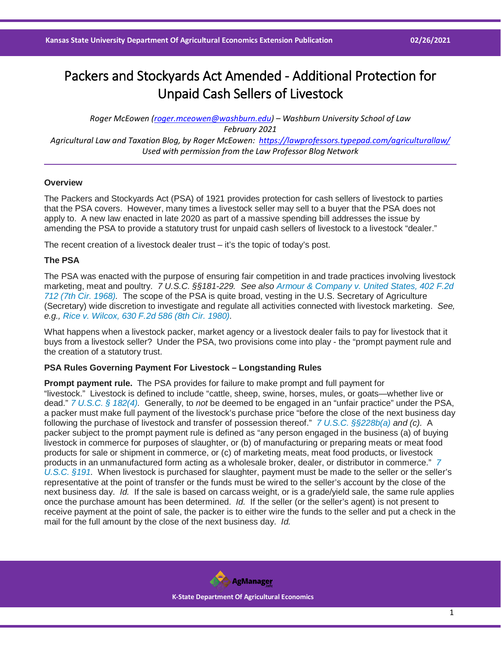# Packers and Stockyards Act Amended - Additional Protection for Unpaid Cash Sellers of Livestock

*Roger McEowen [\(roger.mceowen@washburn.edu\)](mailto:roger.mceowen@washburn.edu) – Washburn University School of Law February 2021 Agricultural Law and Taxation Blog, by Roger McEowen:<https://lawprofessors.typepad.com/agriculturallaw/> Used with permission from the Law Professor Blog Network*

### **Overview**

The Packers and Stockyards Act (PSA) of 1921 provides protection for cash sellers of livestock to parties that the PSA covers. However, many times a livestock seller may sell to a buyer that the PSA does not apply to. A new law enacted in late 2020 as part of a massive spending bill addresses the issue by amending the PSA to provide a statutory trust for unpaid cash sellers of livestock to a livestock "dealer."

The recent creation of a livestock dealer trust – it's the topic of today's post.

## **The PSA**

The PSA was enacted with the purpose of ensuring fair competition in and trade practices involving livestock marketing, meat and poultry. *7 U.S.C. §§181-229. See also [Armour & Company v. United States, 402 F.2d](https://casetext.com/case/armour-and-company-v-united-states-2?ref=ArRBZs!XTv1bh)  [712 \(7th Cir. 1968\).](https://casetext.com/case/armour-and-company-v-united-states-2?ref=ArRBZs!XTv1bh)* The scope of the PSA is quite broad, vesting in the U.S. Secretary of Agriculture (Secretary) wide discretion to investigate and regulate all activities connected with livestock marketing. *See, e.g., [Rice v. Wilcox, 630 F.2d 586 \(8th Cir. 1980\).](https://casetext.com/case/rice-v-wilcox?ref=ArRBZs!mXMFih)*

What happens when a livestock packer, market agency or a livestock dealer fails to pay for livestock that it buys from a livestock seller? Under the PSA, two provisions come into play - the "prompt payment rule and the creation of a statutory trust.

### **PSA Rules Governing Payment For Livestock – Longstanding Rules**

**Prompt payment rule.** The PSA provides for failure to make prompt and full payment for "livestock." Livestock is defined to include "cattle, sheep, swine, horses, mules, or goats—whether live or dead." *[7 U.S.C. § 182\(4\).](https://casetext.com/statute/united-states-code/title-7-agriculture/chapter-9-packers-and-stockyards/subchapter-i-general-definitions/section-182-definitions?ref=ArRBZs!ivsOGk)* Generally, to *not* be deemed to be engaged in an "unfair practice" under the PSA, a packer must make full payment of the livestock's purchase price "before the close of the next business day following the purchase of livestock and transfer of possession thereof." *[7 U.S.C. §§228b\(a\)](https://casetext.com/statute/united-states-code/title-7-agriculture/chapter-9-packers-and-stockyards/subchapter-v-general-provisions/section-228b-prompt-payment-for-purchase-of-livestock?ref=ArRBZs!_8q18C) and (c).* A packer subject to the prompt payment rule is defined as "any person engaged in the business (a) of buying livestock in commerce for purposes of slaughter, or (b) of manufacturing or preparing meats or meat food products for sale or shipment in commerce, or (c) of marketing meats, meat food products, or livestock products in an unmanufactured form acting as a wholesale broker, dealer, or distributor in commerce." *[7](https://casetext.com/statute/united-states-code/title-7-agriculture/chapter-9-packers-and-stockyards/subchapter-ii-packers-generally/part-a-general-provisions/section-191-packer-defined?ref=ArRBZs!1rQA7k)  [U.S.C. §191.](https://casetext.com/statute/united-states-code/title-7-agriculture/chapter-9-packers-and-stockyards/subchapter-ii-packers-generally/part-a-general-provisions/section-191-packer-defined?ref=ArRBZs!1rQA7k)* When livestock is purchased for slaughter, payment must be made to the seller or the seller's representative at the point of transfer or the funds must be wired to the seller's account by the close of the next business day. *Id.* If the sale is based on carcass weight, or is a grade/yield sale, the same rule applies once the purchase amount has been determined. *Id.* If the seller (or the seller's agent) is not present to receive payment at the point of sale, the packer is to either wire the funds to the seller and put a check in the mail for the full amount by the close of the next business day. *Id.*

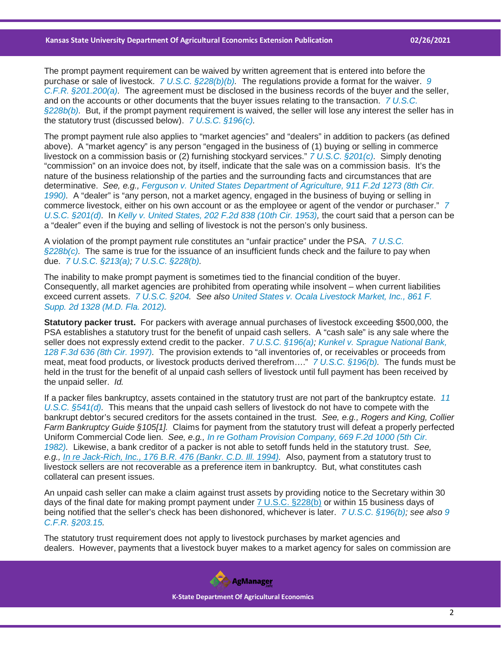The prompt payment requirement can be waived by written agreement that is entered into before the purchase or sale of livestock. *[7 U.S.C. §228\(b\)\(b\).](https://casetext.com/statute/united-states-code/title-7-agriculture/chapter-9-packers-and-stockyards/subchapter-v-general-provisions/section-228-authority-of-secretary?ref=ArRBZs!mh3J3u)* The regulations provide a format for the waiver. *[9](https://casetext.com/regulation/code-of-federal-regulations/title-9-animals-and-animal-products/chapter-ii-agricultural-marketing-service-fair-trade-practices-program-department-of-agriculture/part-201-regulations-under-the-packers-and-stockyards-act/poultry-packers-and-live-poultry-dealers/201200-sale-of-livestock-to-a-packer-on-credit?ref=ArRBZs!eIPgI7)  [C.F.R. §201.200\(a\).](https://casetext.com/regulation/code-of-federal-regulations/title-9-animals-and-animal-products/chapter-ii-agricultural-marketing-service-fair-trade-practices-program-department-of-agriculture/part-201-regulations-under-the-packers-and-stockyards-act/poultry-packers-and-live-poultry-dealers/201200-sale-of-livestock-to-a-packer-on-credit?ref=ArRBZs!eIPgI7)* The agreement must be disclosed in the business records of the buyer and the seller, and on the accounts or other documents that the buyer issues relating to the transaction. *[7 U.S.C.](https://casetext.com/statute/united-states-code/title-7-agriculture/chapter-9-packers-and-stockyards/subchapter-v-general-provisions/section-228b-prompt-payment-for-purchase-of-livestock?ref=ArRBZs!_8q18C)  [§228b\(b\).](https://casetext.com/statute/united-states-code/title-7-agriculture/chapter-9-packers-and-stockyards/subchapter-v-general-provisions/section-228b-prompt-payment-for-purchase-of-livestock?ref=ArRBZs!_8q18C)* But, if the prompt payment requirement is waived, the seller will lose any interest the seller has in the statutory trust (discussed below). *[7 U.S.C. §196\(c\).](https://casetext.com/statute/united-states-code/title-7-agriculture/chapter-9-packers-and-stockyards/subchapter-ii-packers-generally/part-a-general-provisions/section-196-statutory-trust-established-livestock?ref=ArRBZs!49eATf)*

The prompt payment rule also applies to "market agencies" and "dealers" in addition to packers (as defined above). A "market agency" is any person "engaged in the business of (1) buying or selling in commerce livestock on a commission basis or (2) furnishing stockyard services." *[7 U.S.C. §201\(c\).](https://casetext.com/statute/united-states-code/title-7-agriculture/chapter-9-packers-and-stockyards/subchapter-iii-stockyards-and-stockyard-dealers/section-201-stockyard-owner-stockyard-services-market-agency-dealer-defined?ref=ArRBZs!P9Jywh)* Simply denoting "commission" on an invoice does not, by itself, indicate that the sale was on a commission basis. It's the nature of the business relationship of the parties and the surrounding facts and circumstances that are determinative. *See, e.g., [Ferguson v. United States Department of Agriculture, 911 F.2d 1273 \(8th Cir.](https://casetext.com/case/ferguson-v-us-dept-of-agriculture?ref=ArRBZs!jejEPw)  [1990\).](https://casetext.com/case/ferguson-v-us-dept-of-agriculture?ref=ArRBZs!jejEPw)* A "dealer" is "any person, not a market agency, engaged in the business of buying or selling in commerce livestock, either on his own account or as the employee or agent of the vendor or purchaser." *[7](https://casetext.com/statute/united-states-code/title-7-agriculture/chapter-9-packers-and-stockyards/subchapter-iii-stockyards-and-stockyard-dealers/section-201-stockyard-owner-stockyard-services-market-agency-dealer-defined?ref=ArRBZs!P9Jywh)  [U.S.C. §201\(d\).](https://casetext.com/statute/united-states-code/title-7-agriculture/chapter-9-packers-and-stockyards/subchapter-iii-stockyards-and-stockyard-dealers/section-201-stockyard-owner-stockyard-services-market-agency-dealer-defined?ref=ArRBZs!P9Jywh)* In *[Kelly v. United States, 202 F.2d 838 \(10th Cir. 1953\),](https://casetext.com/case/kelley-v-united-states-11?ref=ArRBZs!rSOQPN)* the court said that a person can be a "dealer" even if the buying and selling of livestock is not the person's only business.

A violation of the prompt payment rule constitutes an "unfair practice" under the PSA. *[7 U.S.C.](https://casetext.com/statute/united-states-code/title-7-agriculture/chapter-9-packers-and-stockyards/subchapter-v-general-provisions/section-228b-prompt-payment-for-purchase-of-livestock?ref=ArRBZs!_8q18C)  [§228b\(c\).](https://casetext.com/statute/united-states-code/title-7-agriculture/chapter-9-packers-and-stockyards/subchapter-v-general-provisions/section-228b-prompt-payment-for-purchase-of-livestock?ref=ArRBZs!_8q18C)* The same is true for the issuance of an insufficient funds check and the failure to pay when due. *[7 U.S.C. §213\(a\);](https://casetext.com/statute/united-states-code/title-7-agriculture/chapter-9-packers-and-stockyards/subchapter-iii-stockyards-and-stockyard-dealers/section-213-prevention-of-unfair-discriminatory-or-deceptive-practices?ref=ArRBZs!y4k1OA) [7 U.S.C. §228\(b\).](https://casetext.com/statute/united-states-code/title-7-agriculture/chapter-9-packers-and-stockyards/subchapter-v-general-provisions/section-228-authority-of-secretary?ref=ArRBZs!mh3J3u)*

The inability to make prompt payment is sometimes tied to the financial condition of the buyer. Consequently, all market agencies are prohibited from operating while insolvent – when current liabilities exceed current assets. *[7 U.S.C. §204.](https://casetext.com/statute/united-states-code/title-7-agriculture/chapter-9-packers-and-stockyards/subchapter-iii-stockyards-and-stockyard-dealers/section-204-bond-and-suspension-of-registrants?ref=ArRBZs!nXTMcF) See also [United States v. Ocala Livestock Market, Inc., 861 F.](https://casetext.com/case/united-states-v-ocala-live-stock-mkt-inc?ref=ArRBZs!B3l25L)  [Supp. 2d 1328 \(M.D. Fla. 2012\).](https://casetext.com/case/united-states-v-ocala-live-stock-mkt-inc?ref=ArRBZs!B3l25L)*

**Statutory packer trust.** For packers with average annual purchases of livestock exceeding \$500,000, the PSA establishes a statutory trust for the benefit of unpaid cash sellers. A "cash sale" is any sale where the seller does not expressly extend credit to the packer. *[7 U.S.C. §196\(a\);](https://casetext.com/statute/united-states-code/title-7-agriculture/chapter-9-packers-and-stockyards/subchapter-ii-packers-generally/part-a-general-provisions/section-196-statutory-trust-established-livestock?ref=ArRBZs!49eATf) [Kunkel v. Sprague National Bank,](https://casetext.com/case/kunkel-v-sprague-national-bank?ref=ArRBZs!HMaWLR)  [128 F.3d 636 \(8th Cir. 1997\).](https://casetext.com/case/kunkel-v-sprague-national-bank?ref=ArRBZs!HMaWLR)* The provision extends to "all inventories of, or receivables or proceeds from meat, meat food products, or livestock products derived therefrom…." *[7 U.S.C. §196\(b\).](https://casetext.com/statute/united-states-code/title-7-agriculture/chapter-9-packers-and-stockyards/subchapter-ii-packers-generally/part-a-general-provisions/section-196-statutory-trust-established-livestock?ref=ArRBZs!49eATf)* The funds must be held in the trust for the benefit of al unpaid cash sellers of livestock until full payment has been received by the unpaid seller. *Id.*

If a packer files bankruptcy, assets contained in the statutory trust are not part of the bankruptcy estate. *[11](https://casetext.com/statute/united-states-code/title-11-bankruptcy/chapter-5-creditors-the-debtor-and-the-estate/subchapter-iii-the-estate/section-541-property-of-the-estate?ref=ArRBZs!oCL0tZ)  [U.S.C. §541\(d\).](https://casetext.com/statute/united-states-code/title-11-bankruptcy/chapter-5-creditors-the-debtor-and-the-estate/subchapter-iii-the-estate/section-541-property-of-the-estate?ref=ArRBZs!oCL0tZ)* This means that the unpaid cash sellers of livestock do not have to compete with the bankrupt debtor's secured creditors for the assets contained in the trust. *See, e.g., Rogers and King, Collier Farm Bankruptcy Guide §105[1].* Claims for payment from the statutory trust will defeat a properly perfected Uniform Commercial Code lien. *See, e.g., [In re Gotham Provision Company, 669 F.2d 1000 \(5th Cir.](https://casetext.com/case/in-re-gotham-provision-co-inc?ref=ArRBZs!jFeUGj)  [1982\).](https://casetext.com/case/in-re-gotham-provision-co-inc?ref=ArRBZs!jFeUGj)* Likewise, a bank creditor of a packer is not able to setoff funds held in the statutory trust. *See, e.g., [In re Jack-Rich, Inc., 176 B.R. 476 \(Bankr. C.D. Ill. 1994\).](https://casetext.com/case/in-re-jack-rich-inc-1?ref=ArRBZs!GXYE2m)* Also, payment from a statutory trust to livestock sellers are not recoverable as a preference item in bankruptcy. But, what constitutes cash collateral can present issues.

An unpaid cash seller can make a claim against trust assets by providing notice to the Secretary within 30 days of the final date for making prompt payment under [7 U.S.C. §228\(b\)](https://casetext.com/statute/united-states-code/title-7-agriculture/chapter-9-packers-and-stockyards/subchapter-v-general-provisions/section-228-authority-of-secretary?ref=ArRBZs!mh3J3u) or within 15 business days of being notified that the seller's check has been dishonored, whichever is later. *[7 U.S.C. §196\(b\);](https://casetext.com/statute/united-states-code/title-7-agriculture/chapter-9-packers-and-stockyards/subchapter-ii-packers-generally/part-a-general-provisions/section-196-statutory-trust-established-livestock?ref=ArRBZs!49eATf) see also [9](https://casetext.com/regulation/code-of-federal-regulations/title-9-animals-and-animal-products/chapter-ii-agricultural-marketing-service-fair-trade-practices-program-department-of-agriculture/part-203-statements-of-general-policy-under-the-packers-and-stockyards-act/20315-trust-benefits-under-sections-206-and-207-of-the-act?ref=ArRBZs!LfYwiv)  [C.F.R. §203.15.](https://casetext.com/regulation/code-of-federal-regulations/title-9-animals-and-animal-products/chapter-ii-agricultural-marketing-service-fair-trade-practices-program-department-of-agriculture/part-203-statements-of-general-policy-under-the-packers-and-stockyards-act/20315-trust-benefits-under-sections-206-and-207-of-the-act?ref=ArRBZs!LfYwiv)*

The statutory trust requirement does not apply to livestock purchases by market agencies and dealers. However, payments that a livestock buyer makes to a market agency for sales on commission are



 **K-State Department Of Agricultural Economics**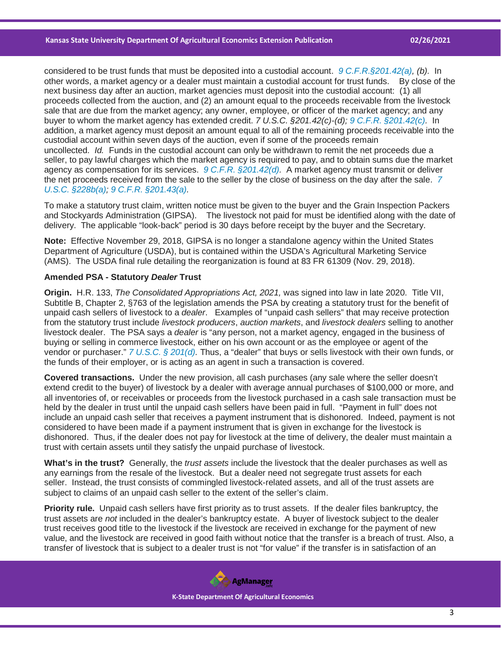considered to be trust funds that must be deposited into a custodial account. *[9 C.F.R.§201.42\(a\),](https://casetext.com/regulation/code-of-federal-regulations/title-9-animals-and-animal-products/chapter-ii-agricultural-marketing-service-fair-trade-practices-program-department-of-agriculture/part-201-regulations-under-the-packers-and-stockyards-act/proceeds-of-sale/20142-custodial-accounts-for-trust-funds?ref=ArRBZs!arCVFs) (b).* In other words, a market agency or a dealer must maintain a custodial account for trust funds. By close of the next business day after an auction, market agencies must deposit into the custodial account: (1) all proceeds collected from the auction, and (2) an amount equal to the proceeds receivable from the livestock sale that are due from the market agency; any owner, employee, or officer of the market agency; and any buyer to whom the market agency has extended credit. *7 U.S.C. §201.42(c)-(d); [9 C.F.R. §201.42\(c\).](https://casetext.com/regulation/code-of-federal-regulations/title-9-animals-and-animal-products/chapter-ii-agricultural-marketing-service-fair-trade-practices-program-department-of-agriculture/part-201-regulations-under-the-packers-and-stockyards-act/proceeds-of-sale/20142-custodial-accounts-for-trust-funds?ref=ArRBZs!arCVFs)* In addition, a market agency must deposit an amount equal to all of the remaining proceeds receivable into the custodial account within seven days of the auction, even if some of the proceeds remain uncollected. *Id.* Funds in the custodial account can only be withdrawn to remit the net proceeds due a seller, to pay lawful charges which the market agency is required to pay, and to obtain sums due the market agency as compensation for its services. *[9 C.F.R. §201.42\(d\).](https://casetext.com/regulation/code-of-federal-regulations/title-9-animals-and-animal-products/chapter-ii-agricultural-marketing-service-fair-trade-practices-program-department-of-agriculture/part-201-regulations-under-the-packers-and-stockyards-act/proceeds-of-sale/20142-custodial-accounts-for-trust-funds?ref=ArRBZs!arCVFs)* A market agency must transmit or deliver the net proceeds received from the sale to the seller by the close of business on the day after the sale. *[7](https://casetext.com/statute/united-states-code/title-7-agriculture/chapter-9-packers-and-stockyards/subchapter-v-general-provisions/section-228b-prompt-payment-for-purchase-of-livestock?ref=ArRBZs!_8q18C)  [U.S.C. §228b\(a\);](https://casetext.com/statute/united-states-code/title-7-agriculture/chapter-9-packers-and-stockyards/subchapter-v-general-provisions/section-228b-prompt-payment-for-purchase-of-livestock?ref=ArRBZs!_8q18C) [9 C.F.R. §201.43\(a\).](https://casetext.com/regulation/code-of-federal-regulations/title-9-animals-and-animal-products/chapter-ii-agricultural-marketing-service-fair-trade-practices-program-department-of-agriculture/part-201-regulations-under-the-packers-and-stockyards-act/accounts-and-records/20143-payment-and-accounting-for-livestock-and-live-poultry?ref=ArRBZs!BbRZVo)*

To make a statutory trust claim, written notice must be given to the buyer and the Grain Inspection Packers and Stockyards Administration (GIPSA). The livestock not paid for must be identified along with the date of delivery. The applicable "look-back" period is 30 days before receipt by the buyer and the Secretary.

**Note:** Effective November 29, 2018, GIPSA is no longer a standalone agency within the United States Department of Agriculture (USDA), but is contained within the USDA's Agricultural Marketing Service (AMS). The USDA final rule detailing the reorganization is found at 83 FR 61309 (Nov. 29, 2018).

#### **Amended PSA - Statutory** *Dealer* **Trust**

**Origin.** H.R. 133, *The Consolidated Appropriations Act, 2021,* was signed into law in late 2020. Title VII, Subtitle B, Chapter 2, §763 of the legislation amends the PSA by creating a statutory trust for the benefit of unpaid cash sellers of livestock to a *dealer*. Examples of "unpaid cash sellers" that may receive protection from the statutory trust include *livestock producers*, *auction markets*, and *livestock dealers* selling to another livestock dealer. The PSA says a *dealer* is "any person, not a market agency, engaged in the business of buying or selling in commerce livestock, either on his own account or as the employee or agent of the vendor or purchaser." *[7 U.S.C. § 201\(d\).](https://casetext.com/statute/united-states-code/title-7-agriculture/chapter-9-packers-and-stockyards/subchapter-iii-stockyards-and-stockyard-dealers/section-201-stockyard-owner-stockyard-services-market-agency-dealer-defined?ref=ArRBZs!P9Jywh)* Thus, a "dealer" that buys or sells livestock with their own funds, or the funds of their employer, or is acting as an agent in such a transaction is covered.

**Covered transactions.** Under the new provision, all cash purchases (any sale where the seller doesn't extend credit to the buyer) of livestock by a dealer with average annual purchases of \$100,000 or more, and all inventories of, or receivables or proceeds from the livestock purchased in a cash sale transaction must be held by the dealer in trust until the unpaid cash sellers have been paid in full. "Payment in full" does not include an unpaid cash seller that receives a payment instrument that is dishonored. Indeed, payment is not considered to have been made if a payment instrument that is given in exchange for the livestock is dishonored. Thus, if the dealer does not pay for livestock at the time of delivery, the dealer must maintain a trust with certain assets until they satisfy the unpaid purchase of livestock.

**What's in the trust?** Generally, the *trust assets* include the livestock that the dealer purchases as well as any earnings from the resale of the livestock. But a dealer need not segregate trust assets for each seller. Instead, the trust consists of commingled livestock-related assets, and all of the trust assets are subject to claims of an unpaid cash seller to the extent of the seller's claim.

**Priority rule.** Unpaid cash sellers have first priority as to trust assets. If the dealer files bankruptcy, the trust assets are *not* included in the dealer's bankruptcy estate. A buyer of livestock subject to the dealer trust receives good title to the livestock if the livestock are received in exchange for the payment of new value, and the livestock are received in good faith without notice that the transfer is a breach of trust. Also, a transfer of livestock that is subject to a dealer trust is not "for value" if the transfer is in satisfaction of an